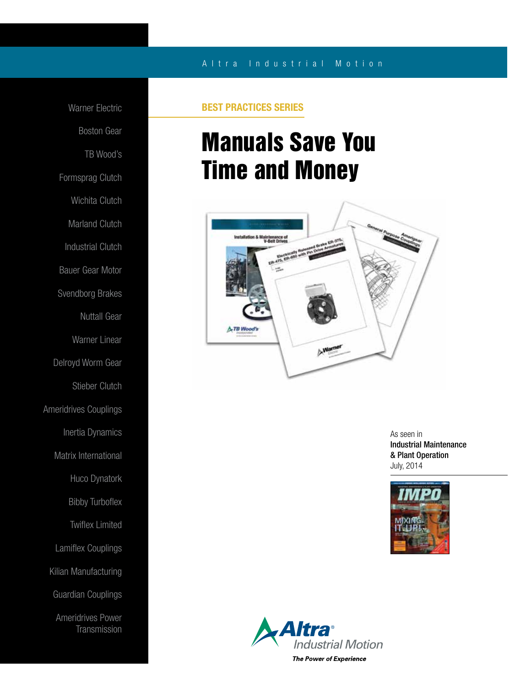## A l t r a Industrial Motion

Warner Electric Boston Gear TB Wood's Formsprag Clutch Wichita Clutch Marland Clutch Industrial Clutch Bauer Gear Motor Svendborg Brakes Nuttall Gear Warner Linear Delroyd Worm Gear Stieber Clutch Ameridrives Couplings Inertia Dynamics Matrix International Huco Dynatork Bibby Turboflex Twiflex Limited Lamiflex Couplings Kilian Manufacturing Guardian Couplings Ameridrives Power **Transmission** 

## BEST PRACTICES SERIES

# Manuals Save You Time and Money



As seen in Industrial Maintenance & Plant Operation July, 2014



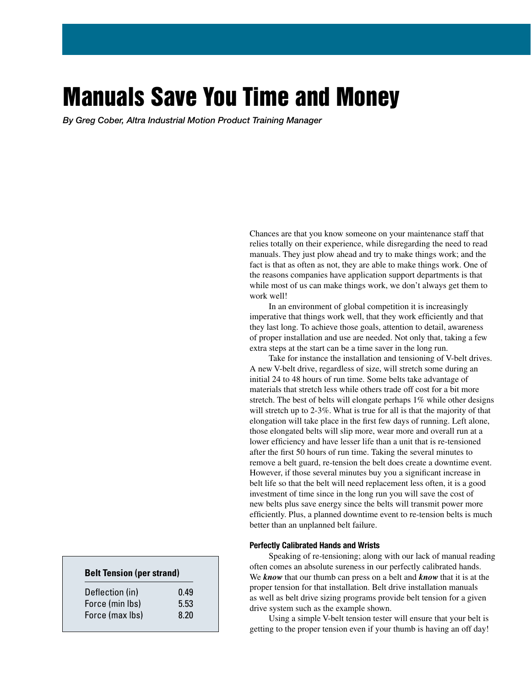## Manuals Save You Time and Money

*By Greg Cober, Altra Industrial Motion Product Training Manager*

Chances are that you know someone on your maintenance staff that relies totally on their experience, while disregarding the need to read manuals. They just plow ahead and try to make things work; and the fact is that as often as not, they are able to make things work. One of the reasons companies have application support departments is that while most of us can make things work, we don't always get them to work well!

 In an environment of global competition it is increasingly imperative that things work well, that they work efficiently and that they last long. To achieve those goals, attention to detail, awareness of proper installation and use are needed. Not only that, taking a few extra steps at the start can be a time saver in the long run.

 Take for instance the installation and tensioning of V-belt drives. A new V-belt drive, regardless of size, will stretch some during an initial 24 to 48 hours of run time. Some belts take advantage of materials that stretch less while others trade off cost for a bit more stretch. The best of belts will elongate perhaps 1% while other designs will stretch up to 2-3%. What is true for all is that the majority of that elongation will take place in the first few days of running. Left alone, those elongated belts will slip more, wear more and overall run at a lower efficiency and have lesser life than a unit that is re-tensioned after the first 50 hours of run time. Taking the several minutes to remove a belt guard, re-tension the belt does create a downtime event. However, if those several minutes buy you a significant increase in belt life so that the belt will need replacement less often, it is a good investment of time since in the long run you will save the cost of new belts plus save energy since the belts will transmit power more efficiently. Plus, a planned downtime event to re-tension belts is much better than an unplanned belt failure.

#### Perfectly Calibrated Hands and Wrists

 Speaking of re-tensioning; along with our lack of manual reading often comes an absolute sureness in our perfectly calibrated hands. We *know* that our thumb can press on a belt and *know* that it is at the proper tension for that installation. Belt drive installation manuals as well as belt drive sizing programs provide belt tension for a given drive system such as the example shown.

 Using a simple V-belt tension tester will ensure that your belt is getting to the proper tension even if your thumb is having an off day!

### **Belt Tension (per strand)**

| Deflection (in) | 0.49 |
|-----------------|------|
| Force (min lbs) | 5.53 |
| Force (max lbs) | 8.20 |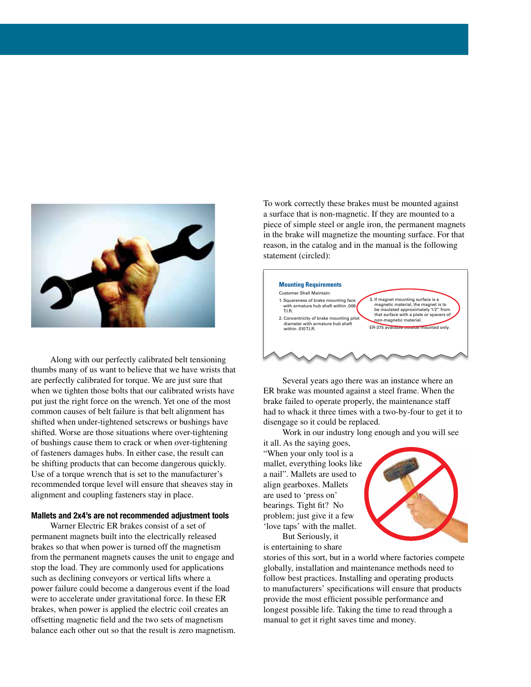

 Along with our perfectly calibrated belt tensioning thumbs many of us want to believe that we have wrists that are perfectly calibrated for torque. We are just sure that when we tighten those bolts that our calibrated wrists have put just the right force on the wrench. Yet one of the most common causes of belt failure is that belt alignment has shifted when under-tightened setscrews or bushings have shifted. Worse are those situations where over-tightening of bushings cause them to crack or when over-tightening of fasteners damages hubs. In either case, the result can be shifting products that can become dangerous quickly. Use of a torque wrench that is set to the manufacturer's recommended torque level will ensure that sheaves stay in alignment and coupling fasteners stay in place.

#### Mallets and 2x4's are not recommended adjustment tools

 Warner Electric ER brakes consist of a set of permanent magnets built into the electrically released brakes so that when power is turned off the magnetism from the permanent magnets causes the unit to engage and stop the load. They are commonly used for applications such as declining conveyors or vertical lifts where a power failure could become a dangerous event if the load were to accelerate under gravitational force. In these ER brakes, when power is applied the electric coil creates an offsetting magnetic field and the two sets of magnetism balance each other out so that the result is zero magnetism. To work correctly these brakes must be mounted against a surface that is non-magnetic. If they are mounted to a piece of simple steel or angle iron, the permanent magnets in the brake will magnetize the mounting surface. For that reason, in the catalog and in the manual is the following statement (circled):



 Several years ago there was an instance where an ER brake was mounted against a steel frame. When the brake failed to operate properly, the maintenance staff had to whack it three times with a two-by-four to get it to disengage so it could be replaced.

Work in our industry long enough and you will see

it all. As the saying goes, "When your only tool is a mallet, everything looks like a nail". Mallets are used to align gearboxes. Mallets are used to 'press on' bearings. Tight fit? No problem; just give it a few 'love taps' with the mallet. But Seriously, it



is entertaining to share stories of this sort, but in a world where factories compete

globally, installation and maintenance methods need to follow best practices. Installing and operating products to manufacturers' specifications will ensure that products provide the most efficient possible performance and longest possible life. Taking the time to read through a manual to get it right saves time and money.